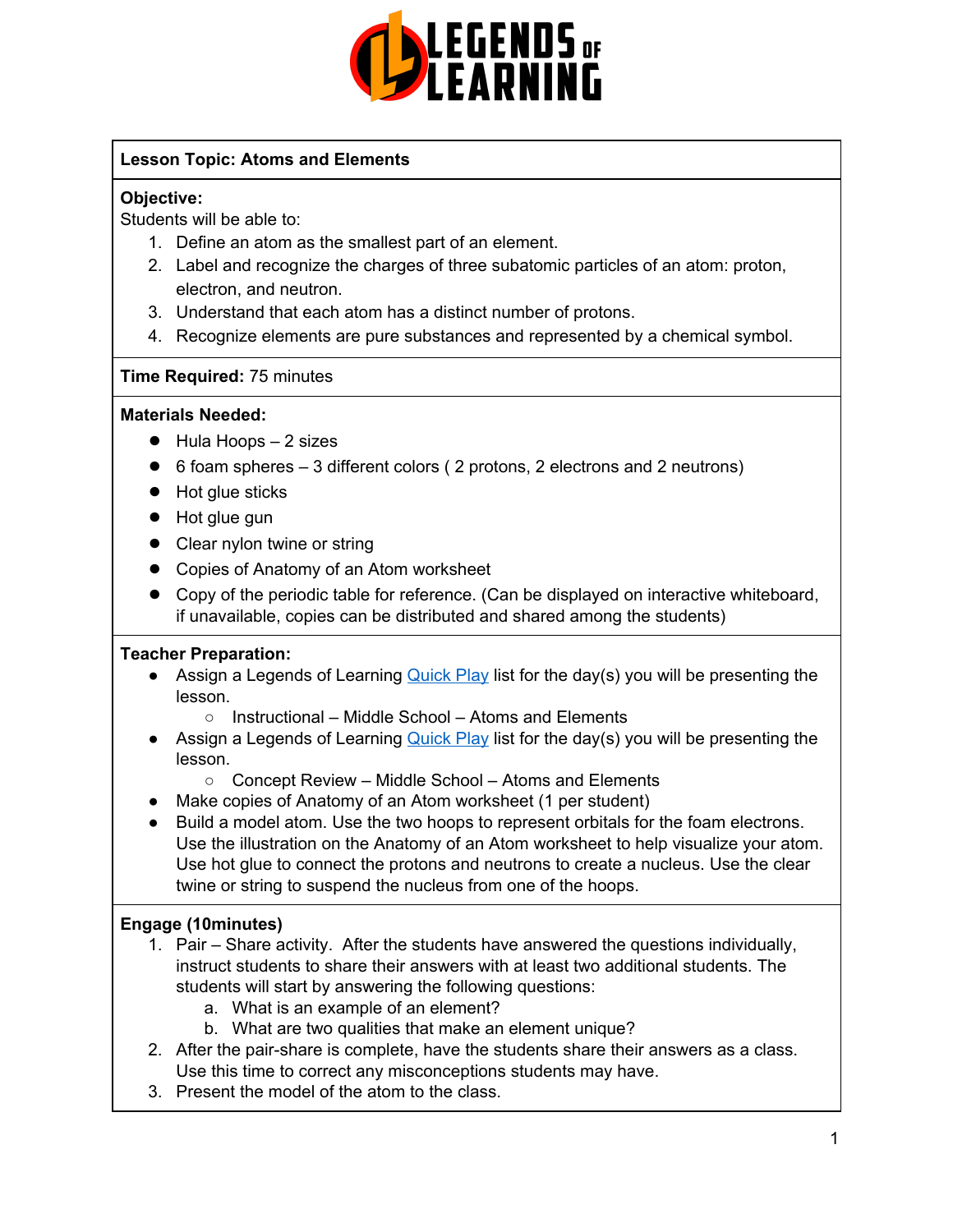

# **Lesson Topic: Atoms and Elements**

## **Objective:**

Students will be able to:

- 1. Define an atom as the smallest part of an element.
- 2. Label and recognize the charges of three subatomic particles of an atom: proton, electron, and neutron.
- 3. Understand that each atom has a distinct number of protons.
- 4. Recognize elements are pure substances and represented by a chemical symbol.

# **Time Required:** 75 minutes

## **Materials Needed:**

- $\bullet$  Hula Hoops  $-2$  sizes
- 6 foam spheres 3 different colors ( 2 protons, 2 electrons and 2 neutrons)
- Hot glue sticks
- Hot glue gun
- Clear nylon twine or string
- Copies of Anatomy of an Atom worksheet
- Copy of the periodic table for reference. (Can be displayed on interactive whiteboard, if unavailable, copies can be distributed and shared among the students)

## **Teacher Preparation:**

- Assign a Legends of Learning [Quick](https://app.legendsoflearning.com/teachers/playlists/1284337) Play list for the day(s) you will be presenting the lesson.
	- Instructional Middle School Atoms and Elements
- Assign a Legends of Learning [Quick](https://app.legendsoflearning.com/teachers/playlists/1284338) Play list for the day(s) you will be presenting the lesson.
	- Concept Review Middle School Atoms and Elements
- Make copies of Anatomy of an Atom worksheet (1 per student)
- Build a model atom. Use the two hoops to represent orbitals for the foam electrons. Use the illustration on the Anatomy of an Atom worksheet to help visualize your atom. Use hot glue to connect the protons and neutrons to create a nucleus. Use the clear twine or string to suspend the nucleus from one of the hoops.

# **Engage (10minutes)**

- 1. Pair Share activity. After the students have answered the questions individually, instruct students to share their answers with at least two additional students. The students will start by answering the following questions:
	- a. What is an example of an element?
	- b. What are two qualities that make an element unique?
- 2. After the pair-share is complete, have the students share their answers as a class. Use this time to correct any misconceptions students may have.
- 3. Present the model of the atom to the class.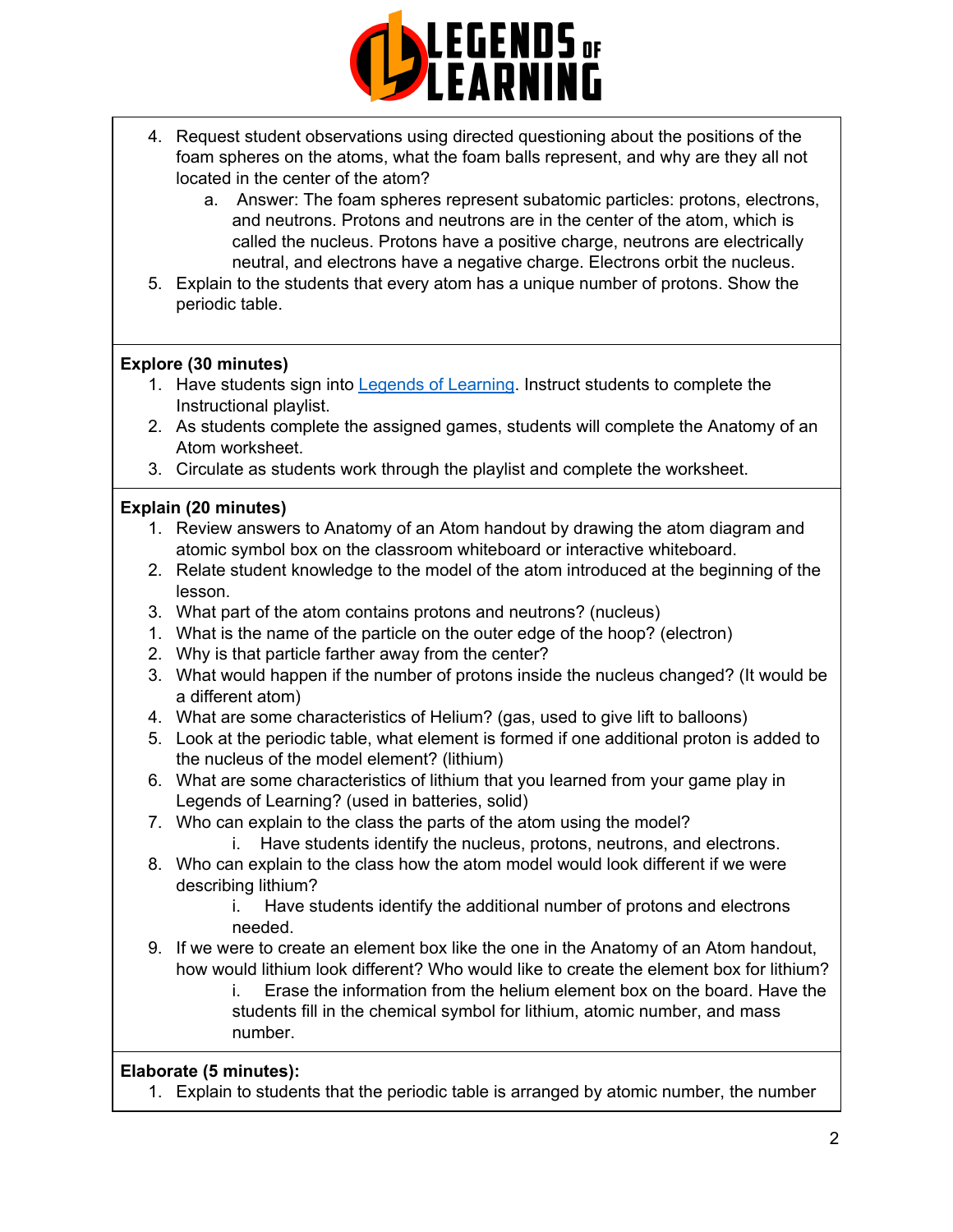

- 4. Request student observations using directed questioning about the positions of the foam spheres on the atoms, what the foam balls represent, and why are they all not located in the center of the atom?
	- a. Answer: The foam spheres represent subatomic particles: protons, electrons, and neutrons. Protons and neutrons are in the center of the atom, which is called the nucleus. Protons have a positive charge, neutrons are electrically neutral, and electrons have a negative charge. Electrons orbit the nucleus.
- 5. Explain to the students that every atom has a unique number of protons. Show the periodic table.

## **Explore (30 minutes)**

- 1. Have students sign into Legends of [Learning.](https://app.legendsoflearning.com/) Instruct students to complete the Instructional playlist.
- 2. As students complete the assigned games, students will complete the Anatomy of an Atom worksheet.
- 3. Circulate as students work through the playlist and complete the worksheet.

#### **Explain (20 minutes)**

- 1. Review answers to Anatomy of an Atom handout by drawing the atom diagram and atomic symbol box on the classroom whiteboard or interactive whiteboard.
- 2. Relate student knowledge to the model of the atom introduced at the beginning of the lesson.
- 3. What part of the atom contains protons and neutrons? (nucleus)
- 1. What is the name of the particle on the outer edge of the hoop? (electron)
- 2. Why is that particle farther away from the center?
- 3. What would happen if the number of protons inside the nucleus changed? (It would be a different atom)
- 4. What are some characteristics of Helium? (gas, used to give lift to balloons)
- 5. Look at the periodic table, what element is formed if one additional proton is added to the nucleus of the model element? (lithium)
- 6. What are some characteristics of lithium that you learned from your game play in Legends of Learning? (used in batteries, solid)
- 7. Who can explain to the class the parts of the atom using the model?
	- i. Have students identify the nucleus, protons, neutrons, and electrons.
- 8. Who can explain to the class how the atom model would look different if we were describing lithium?
	- i. Have students identify the additional number of protons and electrons needed.
- 9. If we were to create an element box like the one in the Anatomy of an Atom handout, how would lithium look different? Who would like to create the element box for lithium?
	- i. Erase the information from the helium element box on the board. Have the students fill in the chemical symbol for lithium, atomic number, and mass number.

## **Elaborate (5 minutes):**

1. Explain to students that the periodic table is arranged by atomic number, the number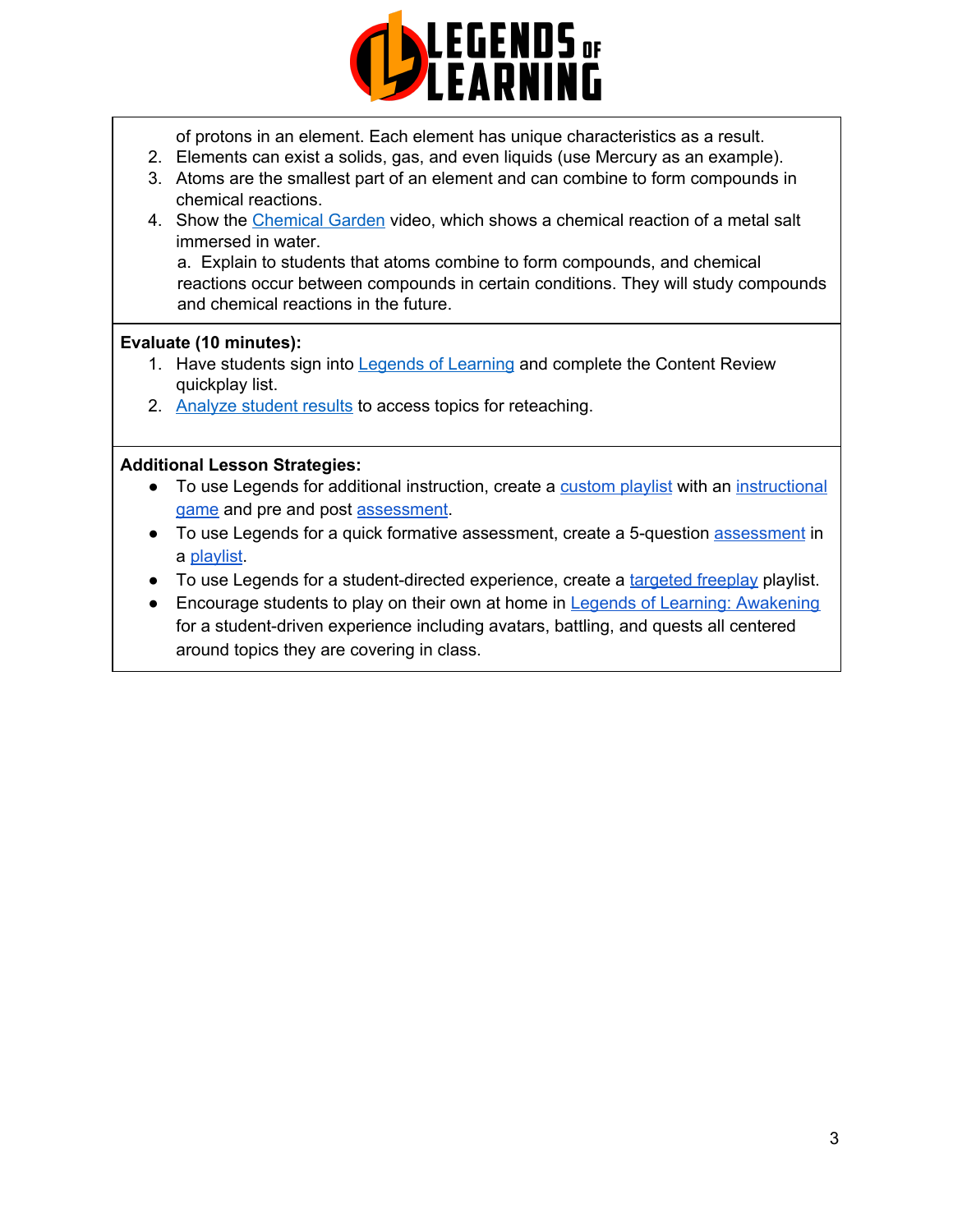

of protons in an element. Each element has unique characteristics as a result.

- 2. Elements can exist a solids, gas, and even liquids (use Mercury as an example).
- 3. Atoms are the smallest part of an element and can combine to form compounds in chemical reactions.
- 4. Show the [Chemical](https://www.beautifulchemistry.net/reaction) Garden video, which shows a chemical reaction of a metal salt immersed in water.

a. Explain to students that atoms combine to form compounds, and chemical reactions occur between compounds in certain conditions. They will study compounds and chemical reactions in the future.

#### **Evaluate (10 minutes):**

- 1. Have students sign into Legends of [Learning](https://app.legendsoflearning.com/teachers/playlists/1284338) and complete the Content Review quickplay list.
- 2. [Analyze](https://app.legendsoflearning.com/teachers/reporting/performance/class/2758678) student results to access topics for reteaching.

#### **Additional Lesson Strategies:**

- To use Legends for additional instruction, create a [custom](https://intercom.help/legends-of-learning/en/articles/2154910-creating-a-playlist) playlist with an [instructional](https://intercom.help/legends-of-learning/en/articles/3505828-types-of-games) [game](https://intercom.help/legends-of-learning/en/articles/3505828-types-of-games) and pre and post [assessment](https://intercom.help/legends-of-learning/en/articles/2154913-adding-assessments-to-a-playlist).
- To use Legends for a quick formative [assessment](https://intercom.help/legends-of-learning/en/articles/2154913-adding-assessments-to-a-playlist), create a 5-question assessment in a [playlist](https://intercom.help/legends-of-learning/en/articles/2154910-creating-a-playlist).
- To use Legends for a student-directed experience, create a [targeted](https://intercom.help/legends-of-learning/en/articles/3340814-targeted-freeplay) freeplay playlist.
- Encourage students to play on their own at home in Legends of Learning: [Awakening](https://intercom.help/legends-of-learning/en/articles/2425490-legends-of-learning-awakening) for a student-driven experience including avatars, battling, and quests all centered around topics they are covering in class.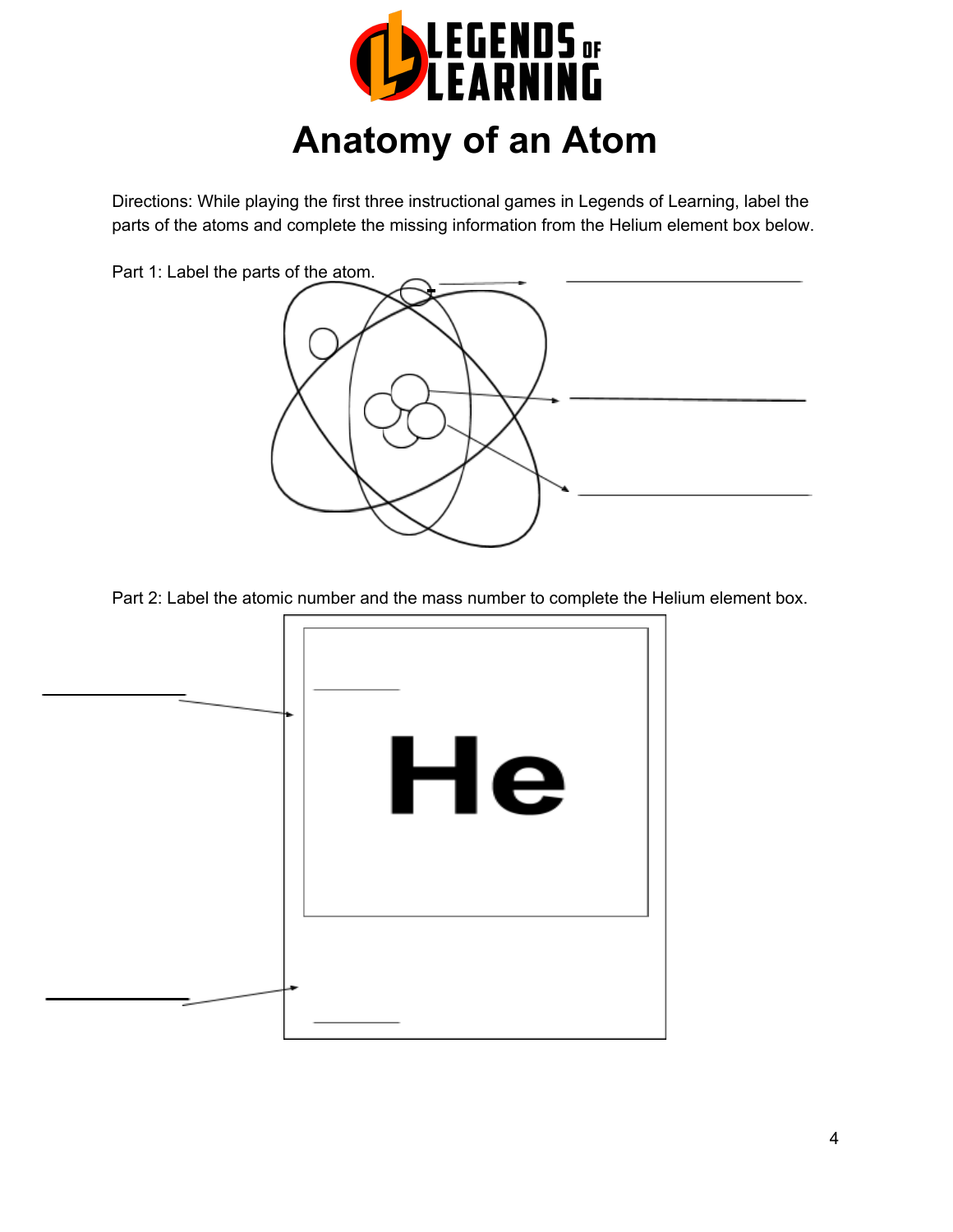

# **Anatomy of an Atom**

Directions: While playing the first three instructional games in Legends of Learning, label the parts of the atoms and complete the missing information from the Helium element box below.

Part 1: Label the parts of the atom.



Part 2: Label the atomic number and the mass number to complete the Helium element box.